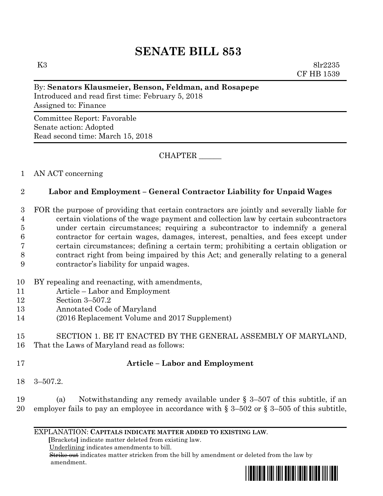# **SENATE BILL 853**

K3 8lr2235 CF HB 1539

#### By: **Senators Klausmeier, Benson, Feldman, and Rosapepe**

Introduced and read first time: February 5, 2018 Assigned to: Finance

Committee Report: Favorable Senate action: Adopted Read second time: March 15, 2018

CHAPTER \_\_\_\_\_\_

## 1 AN ACT concerning

## 2 **Labor and Employment – General Contractor Liability for Unpaid Wages**

 FOR the purpose of providing that certain contractors are jointly and severally liable for certain violations of the wage payment and collection law by certain subcontractors under certain circumstances; requiring a subcontractor to indemnify a general contractor for certain wages, damages, interest, penalties, and fees except under certain circumstances; defining a certain term; prohibiting a certain obligation or contract right from being impaired by this Act; and generally relating to a general contractor's liability for unpaid wages.

- 10 BY repealing and reenacting, with amendments,
- 11 Article Labor and Employment
- 12 Section 3–507.2
- 13 Annotated Code of Maryland
- 14 (2016 Replacement Volume and 2017 Supplement)

15 SECTION 1. BE IT ENACTED BY THE GENERAL ASSEMBLY OF MARYLAND,

16 That the Laws of Maryland read as follows:

## 17 **Article – Labor and Employment**

18 3–507.2.

19 (a) Notwithstanding any remedy available under § 3–507 of this subtitle, if an 20 employer fails to pay an employee in accordance with  $\S 3-502$  or  $\S 3-505$  of this subtitle,

#### EXPLANATION: **CAPITALS INDICATE MATTER ADDED TO EXISTING LAW**.

 **[**Brackets**]** indicate matter deleted from existing law.

Underlining indicates amendments to bill.

 Strike out indicates matter stricken from the bill by amendment or deleted from the law by amendment.